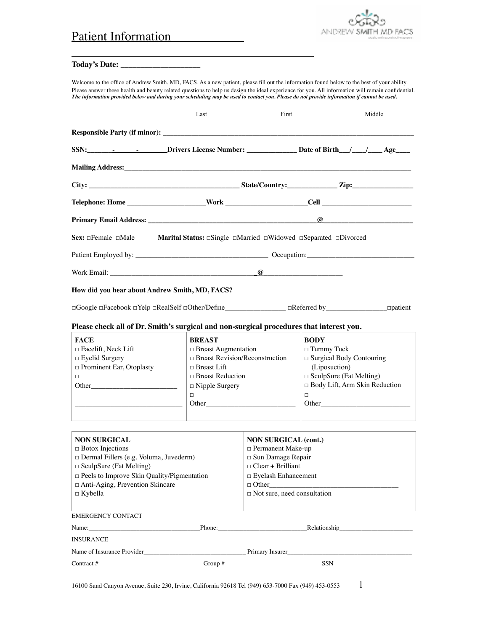## Patient Information



## **Today's Date: \_\_\_\_\_\_\_\_\_\_\_\_\_\_\_\_\_\_\_\_**

Welcome to the office of Andrew Smith, MD, FACS. As a new patient, please fill out the information found below to the best of your ability. Please answer these health and beauty related questions to help us design the ideal experience for you. All information will remain confidential.<br>The information provided below and during your scheduling may be used to con

\_\_\_\_\_\_\_\_\_\_\_\_\_\_\_\_\_\_\_\_\_\_\_\_\_\_\_\_\_\_\_\_\_\_\_\_\_\_

|                                                                                                                                                                                                                                                                                                                                 | Last                                                                                                                                                                                                                                                                                                                                                                                                      | First                                                                                                                                                                                     | Middle                                                                                                                                                                                                                                                                                                                                                                                               |
|---------------------------------------------------------------------------------------------------------------------------------------------------------------------------------------------------------------------------------------------------------------------------------------------------------------------------------|-----------------------------------------------------------------------------------------------------------------------------------------------------------------------------------------------------------------------------------------------------------------------------------------------------------------------------------------------------------------------------------------------------------|-------------------------------------------------------------------------------------------------------------------------------------------------------------------------------------------|------------------------------------------------------------------------------------------------------------------------------------------------------------------------------------------------------------------------------------------------------------------------------------------------------------------------------------------------------------------------------------------------------|
|                                                                                                                                                                                                                                                                                                                                 |                                                                                                                                                                                                                                                                                                                                                                                                           |                                                                                                                                                                                           |                                                                                                                                                                                                                                                                                                                                                                                                      |
|                                                                                                                                                                                                                                                                                                                                 |                                                                                                                                                                                                                                                                                                                                                                                                           |                                                                                                                                                                                           |                                                                                                                                                                                                                                                                                                                                                                                                      |
|                                                                                                                                                                                                                                                                                                                                 |                                                                                                                                                                                                                                                                                                                                                                                                           |                                                                                                                                                                                           |                                                                                                                                                                                                                                                                                                                                                                                                      |
|                                                                                                                                                                                                                                                                                                                                 |                                                                                                                                                                                                                                                                                                                                                                                                           |                                                                                                                                                                                           |                                                                                                                                                                                                                                                                                                                                                                                                      |
|                                                                                                                                                                                                                                                                                                                                 |                                                                                                                                                                                                                                                                                                                                                                                                           |                                                                                                                                                                                           |                                                                                                                                                                                                                                                                                                                                                                                                      |
|                                                                                                                                                                                                                                                                                                                                 |                                                                                                                                                                                                                                                                                                                                                                                                           |                                                                                                                                                                                           | $\omega$                                                                                                                                                                                                                                                                                                                                                                                             |
| Sex: □Female □Male                                                                                                                                                                                                                                                                                                              | <b>Marital Status:</b> $\Box$ Single $\Box$ Married $\Box$ Widowed $\Box$ Separated $\Box$ Divorced                                                                                                                                                                                                                                                                                                       |                                                                                                                                                                                           |                                                                                                                                                                                                                                                                                                                                                                                                      |
|                                                                                                                                                                                                                                                                                                                                 |                                                                                                                                                                                                                                                                                                                                                                                                           |                                                                                                                                                                                           |                                                                                                                                                                                                                                                                                                                                                                                                      |
|                                                                                                                                                                                                                                                                                                                                 | Work Email: 2008. The Contract of the Contract of Contract of Contract of Contract of Contract of Contract of Contract of Contract of Contract of Contract of Contract of Contract of Contract of Contract of Contract of Cont                                                                                                                                                                            |                                                                                                                                                                                           |                                                                                                                                                                                                                                                                                                                                                                                                      |
| How did you hear about Andrew Smith, MD, FACS?                                                                                                                                                                                                                                                                                  |                                                                                                                                                                                                                                                                                                                                                                                                           |                                                                                                                                                                                           |                                                                                                                                                                                                                                                                                                                                                                                                      |
| Please check all of Dr. Smith's surgical and non-surgical procedures that interest you.                                                                                                                                                                                                                                         |                                                                                                                                                                                                                                                                                                                                                                                                           |                                                                                                                                                                                           |                                                                                                                                                                                                                                                                                                                                                                                                      |
| <b>FACE</b><br>$\Box$ Facelift, Neck Lift<br>□ Eyelid Surgery<br>Prominent Ear, Otoplasty<br>□<br>Other and the contract of the contract of the contract of the contract of the contract of the contract of the contract of the contract of the contract of the contract of the contract of the contract of the contract of the | <b>BREAST</b><br>$\Box$ Breast Augmentation<br>$\Box$ Breast Revision/Reconstruction<br>$\Box$ Breast Lift<br>$\Box$ Breast Reduction<br>$\Box$ Nipple Surgery<br>$\Box$<br>Other and the contract of the contract of the contract of the contract of the contract of the contract of the contract of the contract of the contract of the contract of the contract of the contract of the contract of the |                                                                                                                                                                                           | <b>BODY</b><br>$\Box$ Tummy Tuck<br>$\Box$ Surgical Body Contouring<br>(Liposuction)<br>$\Box$ SculpSure (Fat Melting)<br>□ Body Lift, Arm Skin Reduction<br>$\Box$<br>Other and the contract of the contract of the contract of the contract of the contract of the contract of the contract of the contract of the contract of the contract of the contract of the contract of the contract of the |
| <b>NON SURGICAL</b><br>$\Box$ Botox Injections<br>$\Box$ Dermal Fillers (e.g. Voluma, Juvederm)<br>$\Box$ SculpSure (Fat Melting)<br>□ Peels to Improve Skin Quality/Pigmentation<br>□ Anti-Aging, Prevention Skincare<br>$\Box$ Kybella                                                                                        |                                                                                                                                                                                                                                                                                                                                                                                                           | <b>NON SURGICAL (cont.)</b><br>□ Permanent Make-up<br>□ Sun Damage Repair<br>$\Box$ Clear + Brilliant<br><b>Eyelash Enhancement</b><br>$\Box$ Other<br>$\Box$ Not sure, need consultation |                                                                                                                                                                                                                                                                                                                                                                                                      |
| <b>EMERGENCY CONTACT</b>                                                                                                                                                                                                                                                                                                        |                                                                                                                                                                                                                                                                                                                                                                                                           |                                                                                                                                                                                           |                                                                                                                                                                                                                                                                                                                                                                                                      |
|                                                                                                                                                                                                                                                                                                                                 |                                                                                                                                                                                                                                                                                                                                                                                                           |                                                                                                                                                                                           | Name: Relationship Relationship Relationship Relationship                                                                                                                                                                                                                                                                                                                                            |
| <b>INSURANCE</b>                                                                                                                                                                                                                                                                                                                |                                                                                                                                                                                                                                                                                                                                                                                                           |                                                                                                                                                                                           |                                                                                                                                                                                                                                                                                                                                                                                                      |
|                                                                                                                                                                                                                                                                                                                                 |                                                                                                                                                                                                                                                                                                                                                                                                           |                                                                                                                                                                                           |                                                                                                                                                                                                                                                                                                                                                                                                      |
|                                                                                                                                                                                                                                                                                                                                 |                                                                                                                                                                                                                                                                                                                                                                                                           |                                                                                                                                                                                           | $\text{Contract } \#$ SSN                                                                                                                                                                                                                                                                                                                                                                            |

16100 Sand Canyon Avenue, Suite 230, Irvine, California 92618 Tel (949) 653-7000 Fax (949) 453-0553 1